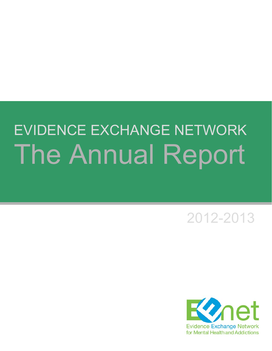### EVIDENCE EXCHANGE NETWORK The Annual Report

2012-2013

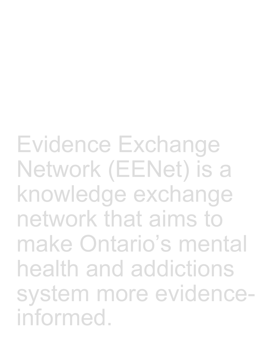Evidence Exchange Network (EENet) is a knowledge exchange network that aims to make Ontario's mental health and addictions system more evidenceinformed.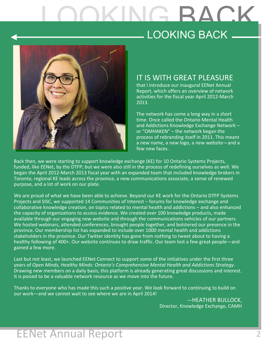### LOOKING BACK LOOKING BACK



#### IT IS WITH GREAT PLEASURE

that I introduce our inaugural EENet Annual Report, which offers an overview of network activities for the fiscal year April 2012-March 2013.

The network has come a long way in a short time. Once called the Ontario Mental Health and Addictions Knowledge Exchange Network – or "OMHAKEN" – the network began the process of rebranding itself in 2011. This meant a new name, a new logo, a new website—and a few new faces.

Back then, we were starting to support knowledge exchange (KE) for 10 Ontario Systems Projects, funded, like EENet, by the DTFP; but we were also still in the process of redefining ourselves as well. We began the April 2012-March 2013 fiscal year with an expanded team that included knowledge brokers in Toronto, regional KE leads across the province, a new communications associate, a sense of renewed purpose, and a lot of work on our plate.

We are proud of what we have been able to achieve. Beyond our KE work for the Ontario DTFP Systems Projects and SISC, we supported 14 Communities of Interest – forums for knowledge exchange and collaborative knowledge creation, on topics related to mental health and addictions – and also enhanced the capacity of organizations to access evidence. We created over 100 knowledge products, made available through our engaging new website and through the communications vehicles of our partners. We hosted webinars, attended conferences, brought people together, and bolstered our presence in the province. Our membership list has expanded to include over 1000 mental health and addictions stakeholders in the province. Our Twitter identity has gone from nothing to tweet about to having a healthy following of 400+. Our website continues to draw traffic. Our team lost a few great people—and gained a few more.

Last but not least, we launched EENet Connect to support some of the initiatives under the first three years of *Open Minds, Healthy Minds: Ontario's Comprehensive Mental Health and Addictions Strategy*. Drawing new members on a daily basis, this platform is already generating great discussions and interest. It is poised to be a valuable network resource as we move into the future.

Thanks to everyone who has made this such a positive year. We look forward to continuing to build on our work—and we cannot wait to see where we are in April 2014!

> —HEATHER BULLOCK, Director, Knowledge Exchange, CAMH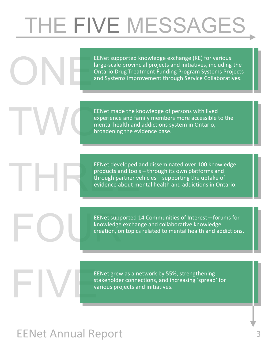# THE FIVE MESSAGES

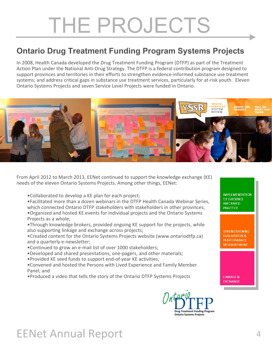### THE PROJECTS

#### **Ontario Drug Treatment Funding Program Systems Projects**

In 2008, Health Canada developed the Drug Treatment Funding Program (DTFP) as part of the Treatment Action Plan under the National Anti-Drug Strategy. The DTFP is a federal contribution program designed to support provinces and territories in their efforts to strengthen evidence-informed substance use treatment systems; and address critical gaps in substance use treatment services, particularly for at-risk youth. Eleven Ontario Systems Projects and seven Service Level Projects were funded in Ontario.



From April 2012 to March 2013, EENet continued to support the knowledge exchange (KE) needs of the eleven Ontario Systems Projects. Among other things, EENet:

•Collaborated to develop a KE plan for each project;

•Facilitated more than a dozen webinars in the DTFP Health Canada Webinar Series, which connected Ontario DTFP stakeholders with stakeholders in other provinces; •Organized and hosted KE events for individual projects and the Ontario Systems Projects as a whole;

- •Through knowledge brokers, provided ongoing KE support for the projects, while also supporting linkage and exchange across projects;
- •Created content for the Ontario Systems Projects website (www.ontariodtfp.ca) and a quarterly e-newsletter;
- •Continued to grow an e-mail list of over 1000 stakeholders;
- •Developed and shared presentations, one-pagers, and other materials;
- •Provided KE seed funds to support end-of-year KE activities;
- •Convened and hosted the Persons with Lived Experience and Family Member Panel; and
- •Produced a video that tells the story of the Ontario DTFP Systems Projects



#### **IMPLEMENTATION** OF EVIDENCE-**INFORMED PRACTICE**

**STRENGTHENING EVALUATION & PERFORMANCE MEASUREMENT** 

**LINKAGE & EXCHANGE**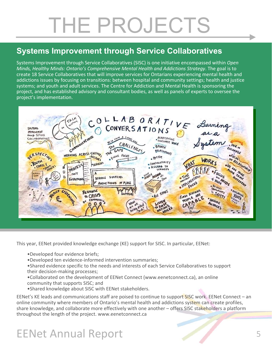### THE PROJECTS

#### **Systems Improvement through Service Collaboratives**

Systems Improvement through Service Collaboratives (SISC) is one initiative encompassed within *Open Minds, Healthy Minds: Ontario's Comprehensive Mental Health and Addictions Strategy*. The goal is to create 18 Service Collaboratives that will improve services for Ontarians experiencing mental health and addictions issues by focusing on transitions: between hospital and community settings; health and justice systems; and youth and adult services. The Centre for Addiction and Mental Health is sponsoring the project, and has established advisory and consultant bodies, as well as panels of experts to oversee the project's implementation.



This year, EENet provided knowledge exchange (KE) support for SISC. In particular, EENet:

- •Developed four evidence briefs;
- •Developed ten evidence-informed intervention summaries;

•Shared evidence specific to the needs and interests of each Service Collaboratives to support their decision-making processes;

- •Collaborated on the development of EENet Connect (www.eenetconnect.ca), an online community that supports SISC; and
- •Shared knowledge about SISC with EENet stakeholders.

EENet's KE leads and communications staff are poised to continue to support SISC work. EENet Connect – an online community where members of Ontario's mental health and addictions system can create profiles, share knowledge, and collaborate more effectively with one another - offers SISC stakeholders a platform throughout the length of the project. www.eenetconnect.ca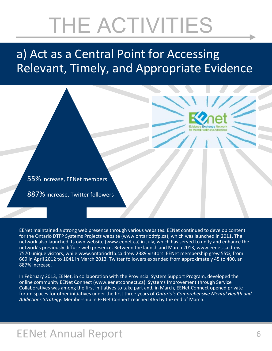### a) Act as a Central Point for Accessing Relevant, Timely, and Appropriate Evidence

55% increase, EENet members

887% increase, Twitter followers

EENet maintained a strong web presence through various websites. EENet continued to develop content for the Ontario DTFP Systems Projects website (www.ontariodtfp.ca), which was launched in 2011. The network also launched its own website (www.eenet.ca) in July, which has served to unify and enhance the network's previously diffuse web presence. Between the launch and March 2013, www.eenet.ca drew 7570 unique visitors, while www.ontariodtfp.ca drew 2389 visitors. EENet membership grew 55%, from 669 in April 2012 to 1041 in March 2013. Twitter followers expanded from approximately 45 to 400, an 887% increase.

In February 2013, EENet, in collaboration with the Provincial System Support Program, developed the online community EENet Connect (www.eenetconnect.ca). Systems Improvement through Service Collaboratives was among the first initiatives to take part and, in March, EENet Connect opened private forum spaces for other initiatives under the first three years of *Ontario's Comprehensive Mental Health and Addictions Strategy*. Membership in EENet Connect reached 465 by the end of March.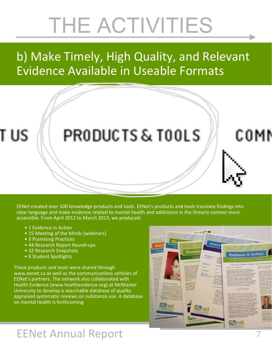### b) Make Timely, High Quality, and Relevant Evidence Available in Useable Formats

T US

### PRODUCTS & TOOLS

EENet created over 100 knowledge products and tools. EENet's products and tools translate findings into clear language and make evidence related to mental health and addictions in the Ontario context more accessible. From April 2012 to March 2013, we produced:

- 1 Evidence in Action
- 15 Meeting of the Minds (webinars)
- 3 Promising Practices
- 44 Research Report Round-ups
- 32 Research Snapshots
- 8 Student Spotlights

These products and tools were shared through www.eenet.ca as well as the communications vehicles of EENet's partners. The network also collaborated with Health Evidence (www.healthevidence.org) at McMaster University to develop a searchable database of quality appraised systematic reviews on substance use. A database on mental health is forthcoming.



### EENet Annual Report

COMI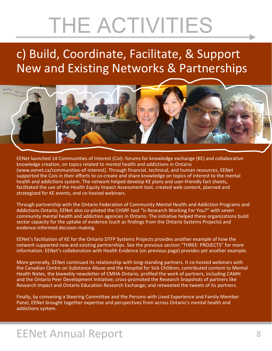### c) Build, Coordinate, Facilitate, & Support New and Existing Networks & Partnerships



EENet launched 14 Communities of Interest (CoI): forums for knowledge exchange (KE) and collaborative knowledge creation, on topics related to mental health and addictions in Ontario (www.eenet.ca/communities-of-interest). Through financial, technical, and human resources, EENet supported the CoIs in their efforts to co-create and share knowledge on topics of interest to the mental health and addictions system. The network helped develop KE plans and user-friendly fact sheets, facilitated the use of the Health Equity Impact Assessment tool, created web content, planned and strategized for KE events, and co-hosted webinars.

Through partnership with the Ontario Federation of Community Mental Health and Addiction Programs and Addictions Ontario, EENet also co-piloted the CHSRF tool "Is Research Working For You?" with seven community mental health and addiction agencies in Ontario. The initiative helped these organizations build sector capacity for the uptake of evidence (such as findings from the Ontario Systems Projects) and evidence-informed decision-making.

EENet's facilitation of KE for the Ontario DTFP Systems Projects provides another example of how the network supported new and existing partnerships. See the previous section "THREE: PROJECTS" for more information. EENet's collaboration with Health Evidence (on previous page) provides yet another example.

More generally, EENet continued its relationship with long-standing partners. It co-hosted webinars with the Canadian Centre on Substance Abuse and the Hospital for Sick Children; contributed content to Mental Health Notes, the biweekly newsletter of CMHA Ontario; profiled the work of partners, including CAMH and the Ontario Peer Development Initiative; cross-promoted the Research Snapshots of partners like Research Impact and Ontario Education Research Exchange; and retweeted the tweets of its partners.

Finally, by convening a Steering Committee and the Persons with Lived Experience and Family Member Panel, EENet brought together expertise and perspectives from across Ontario's mental health and addictions system.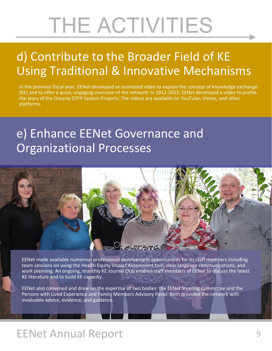### d) Contribute to the Broader Field of KE Using Traditional & Innovative Mechanisms

In the previous fiscal year, EENet developed an animated video to explain the concept of knowledge exchange (KE) and to offer a quick, engaging overview of the network. In 2012-2013, EENet developed a video to profile the story of the Ontario DTFP System Projects. The videos are available on YouTube, Vimeo, and other platforms.

### e) Enhance EENet Governance and Organizational Processes



EENet made available numerous professional development opportunities for its staff members including team sessions on using the Health Equity Impact Assessment tool, clear language communications, and work planning. An ongoing, monthly KE Journal Club enables staff members of EENet to discuss the latest KE literature and to build KE capacity.

EENet also convened and drew on the expertise of two bodies: the EENet Steering Committee and the Persons with Lived Experience and Family Members Advisory Panel. Both provided the network with invaluable advice, evidence, and guidance.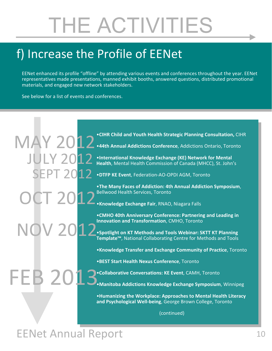### f) Increase the Profile of EENet

EENet enhanced its profile "offline" by attending various events and conferences throughout the year. EENet representatives made presentations, manned exhibit booths, answered questions, distributed promotional materials, and engaged new network stakeholders.

See below for a list of events and conferences.

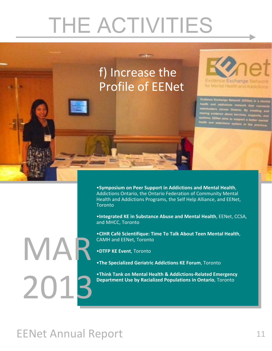

•**Symposium on Peer Support in Addictions and Mental Health**, Addictions Ontario, the Ontario Federation of Community Mental Health and Addictions Programs, the Self Help Alliance, and EENet, **Toronto** 

•**Integrated KE in Substance Abuse and Mental Health**, EENet, CCSA, and MHCC, Toronto

•**CIHR Café Scientifique: Time To Talk About Teen Mental Health**, CAMH and EENet, Toronto

- •**DTFP KE Event**, Toronto
- •**The Specialized Geriatric Addictions KE Forum**, Toronto

•**Think Tank on Mental Health & AddictionsͲRelated Emergency Department Use by Racialized Populations in Ontario**, Toronto

### EENet Annual Report 11

MAR

2013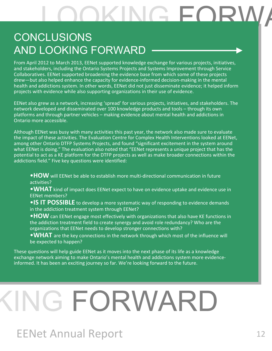### OKING FORV

#### CONCLUSIONS AND LOOKING FORWARD

From April 2012 to March 2013, EENet supported knowledge exchange for various projects, initiatives, and stakeholders, including the Ontario Systems Projects and Systems Improvement through Service Collaboratives. EENet supported broadening the evidence base from which some of these projects drew—but also helped enhance the capacity for evidence-informed decision-making in the mental health and addictions system. In other words, EENet did not just disseminate evidence; it helped inform projects with evidence while also supporting organizations in their use of evidence.

EENet also grew as a network, increasing 'spread' for various projects, initiatives, and stakeholders. The network developed and disseminated over 100 knowledge products and tools – through its own platforms and through partner vehicles – making evidence about mental health and addictions in Ontario more accessible.

Although EENet was busy with many activities this past year, the network also made sure to evaluate the impact of these activities. The Evaluation Centre for Complex Health Interventions looked at EENet, among other Ontario DTFP Systems Projects, and found "significant excitement in the system around what EENet is doing." The evaluation also noted that "EENet represents a unique project that has the potential to act as a KE platform for the DTFP projects as well as make broader connections within the addictions field." Five key questions were identified:

•**HOW** will EENet be able to establish more multi-directional communication in future activities?

•**WHAT** kind of impact does EENet expect to have on evidence uptake and evidence use in EENet members?

**•IS IT POSSIBLE** to develop a more systematic way of responding to evidence demands in the addiction treatment system through EENet?

•**HOW** can EENet engage most effectively with organizations that also have KE functions in the addiction treatment field to create synergy and avoid role redundancy? Who are the organizations that EENet needs to develop stronger connections with?

**• WHAT** are the key connections in the network through which most of the influence will be expected to happen?

These questions will help guide EENet as it moves into the next phase of its life as a knowledge exchange network aiming to make Ontario's mental health and addictions system more evidenceinformed. It has been an exciting journey so far. We're looking forward to the future.

# KING FORWARD